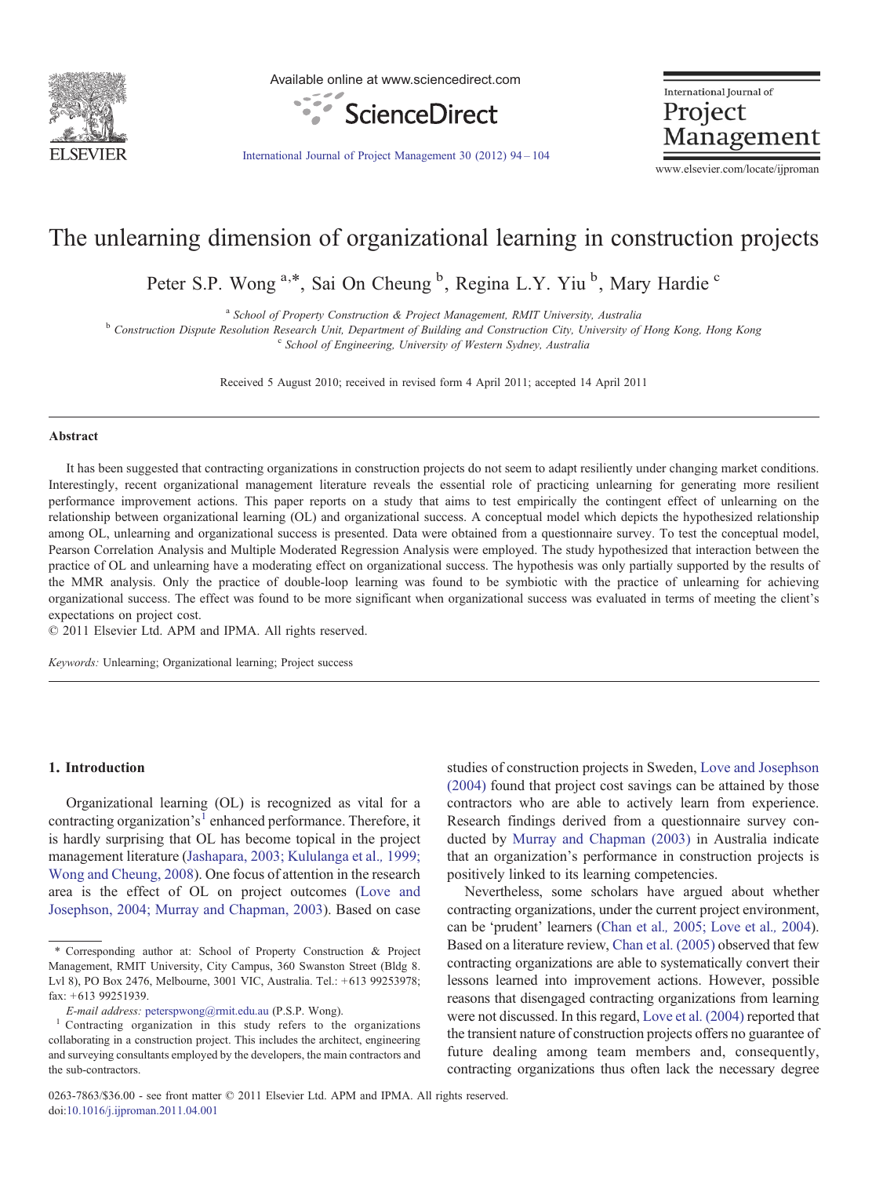

Available online at www.sciencedirect.com



International Journal of Project Management

[International Journal of Project Management 30 \(2012\) 94](http://dx.doi.org/10.1016/j.ijproman.2011.04.001)–104

www.elsevier.com/locate/ijproman

## The unlearning dimension of organizational learning in construction projects

Peter S.P. Wong <sup>a,\*</sup>, Sai On Cheung <sup>b</sup>, Regina L.Y. Yiu <sup>b</sup>, Mary Hardie <sup>c</sup>

<sup>a</sup> School of Property Construction & Project Management, RMIT University, Australia<br><sup>b</sup> Construction Dispute Resolution Research Unit, Department of Building and Construction City, University of Hong Kong, Hong Kong<br><sup>6</sup> S

Received 5 August 2010; received in revised form 4 April 2011; accepted 14 April 2011

## Abstract

It has been suggested that contracting organizations in construction projects do not seem to adapt resiliently under changing market conditions. Interestingly, recent organizational management literature reveals the essential role of practicing unlearning for generating more resilient performance improvement actions. This paper reports on a study that aims to test empirically the contingent effect of unlearning on the relationship between organizational learning (OL) and organizational success. A conceptual model which depicts the hypothesized relationship among OL, unlearning and organizational success is presented. Data were obtained from a questionnaire survey. To test the conceptual model, Pearson Correlation Analysis and Multiple Moderated Regression Analysis were employed. The study hypothesized that interaction between the practice of OL and unlearning have a moderating effect on organizational success. The hypothesis was only partially supported by the results of the MMR analysis. Only the practice of double-loop learning was found to be symbiotic with the practice of unlearning for achieving organizational success. The effect was found to be more significant when organizational success was evaluated in terms of meeting the client's expectations on project cost.

© 2011 Elsevier Ltd. APM and IPMA. All rights reserved.

Keywords: Unlearning; Organizational learning; Project success

## 1. Introduction

Organizational learning (OL) is recognized as vital for a contracting organization's<sup>1</sup> enhanced performance. Therefore, it is hardly surprising that OL has become topical in the project management literature [\(Jashapara, 2003; Kululanga et al.](#page--1-0), 1999; [Wong and Cheung, 2008\)](#page--1-0). One focus of attention in the research area is the effect of OL on project outcomes [\(Love and](#page--1-0) [Josephson, 2004; Murray and Chapman, 2003](#page--1-0)). Based on case

studies of construction projects in Sweden, [Love and Josephson](#page--1-0) [\(2004\)](#page--1-0) found that project cost savings can be attained by those contractors who are able to actively learn from experience. Research findings derived from a questionnaire survey conducted by [Murray and Chapman \(2003\)](#page--1-0) in Australia indicate that an organization's performance in construction projects is positively linked to its learning competencies.

Nevertheless, some scholars have argued about whether contracting organizations, under the current project environment, can be 'prudent' learners (Chan et al., [2005; Love et al.](#page--1-0), 2004). Based on a literature review, [Chan et al. \(2005\)](#page--1-0) observed that few contracting organizations are able to systematically convert their lessons learned into improvement actions. However, possible reasons that disengaged contracting organizations from learning were not discussed. In this regard, [Love et al. \(2004\)](#page--1-0) reported that the transient nature of construction projects offers no guarantee of future dealing among team members and, consequently, contracting organizations thus often lack the necessary degree

<sup>⁎</sup> Corresponding author at: School of Property Construction & Project Management, RMIT University, City Campus, 360 Swanston Street (Bldg 8. Lvl 8), PO Box 2476, Melbourne, 3001 VIC, Australia. Tel.: +613 99253978; fax: +613 99251939.

E-mail address: [peterspwong@rmit.edu.au](mailto:peterspwong@rmit.edu.au) (P.S.P. Wong).<br><sup>1</sup> Contracting organization in this study refers to the organizations collaborating in a construction project. This includes the architect, engineering and surveying consultants employed by the developers, the main contractors and the sub-contractors.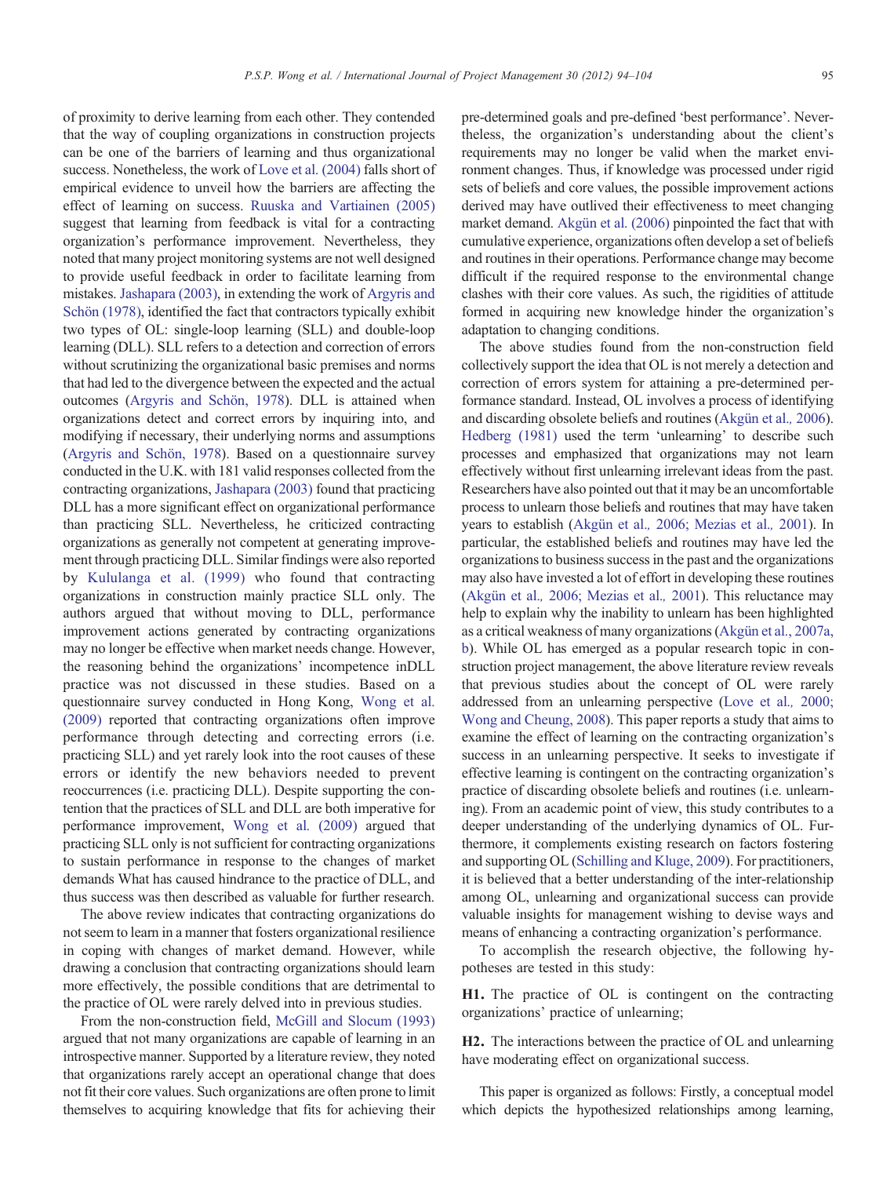of proximity to derive learning from each other. They contended that the way of coupling organizations in construction projects can be one of the barriers of learning and thus organizational success. Nonetheless, the work of [Love et al. \(2004\)](#page--1-0) falls short of empirical evidence to unveil how the barriers are affecting the effect of learning on success. [Ruuska and Vartiainen \(2005\)](#page--1-0) suggest that learning from feedback is vital for a contracting organization's performance improvement. Nevertheless, they noted that many project monitoring systems are not well designed to provide useful feedback in order to facilitate learning from mistakes. [Jashapara \(2003\),](#page--1-0) in extending the work of [Argyris and](#page--1-0) [Schön \(1978\)](#page--1-0), identified the fact that contractors typically exhibit two types of OL: single-loop learning (SLL) and double-loop learning (DLL). SLL refers to a detection and correction of errors without scrutinizing the organizational basic premises and norms that had led to the divergence between the expected and the actual outcomes ([Argyris and Schön, 1978\)](#page--1-0). DLL is attained when organizations detect and correct errors by inquiring into, and modifying if necessary, their underlying norms and assumptions ([Argyris and Schön, 1978](#page--1-0)). Based on a questionnaire survey conducted in the U.K. with 181 valid responses collected from the contracting organizations, [Jashapara \(2003\)](#page--1-0) found that practicing DLL has a more significant effect on organizational performance than practicing SLL. Nevertheless, he criticized contracting organizations as generally not competent at generating improvement through practicing DLL. Similar findings were also reported by [Kululanga et al. \(1999\)](#page--1-0) who found that contracting organizations in construction mainly practice SLL only. The authors argued that without moving to DLL, performance improvement actions generated by contracting organizations may no longer be effective when market needs change. However, the reasoning behind the organizations' incompetence inDLL practice was not discussed in these studies. Based on a questionnaire survey conducted in Hong Kong, [Wong et al.](#page--1-0) [\(2009\)](#page--1-0) reported that contracting organizations often improve performance through detecting and correcting errors (i.e. practicing SLL) and yet rarely look into the root causes of these errors or identify the new behaviors needed to prevent reoccurrences (i.e. practicing DLL). Despite supporting the contention that the practices of SLL and DLL are both imperative for performance improvement, [Wong et al. \(2009\)](#page--1-0) argued that practicing SLL only is not sufficient for contracting organizations to sustain performance in response to the changes of market demands What has caused hindrance to the practice of DLL, and thus success was then described as valuable for further research.

The above review indicates that contracting organizations do not seem to learn in a manner that fosters organizational resilience in coping with changes of market demand. However, while drawing a conclusion that contracting organizations should learn more effectively, the possible conditions that are detrimental to the practice of OL were rarely delved into in previous studies.

From the non-construction field, [McGill and Slocum \(1993\)](#page--1-0) argued that not many organizations are capable of learning in an introspective manner. Supported by a literature review, they noted that organizations rarely accept an operational change that does not fit their core values. Such organizations are often prone to limit themselves to acquiring knowledge that fits for achieving their pre-determined goals and pre-defined 'best performance'. Nevertheless, the organization's understanding about the client's requirements may no longer be valid when the market environment changes. Thus, if knowledge was processed under rigid sets of beliefs and core values, the possible improvement actions derived may have outlived their effectiveness to meet changing market demand. [Akgün et al. \(2006\)](#page--1-0) pinpointed the fact that with cumulative experience, organizations often develop a set of beliefs and routines in their operations. Performance change may become difficult if the required response to the environmental change clashes with their core values. As such, the rigidities of attitude formed in acquiring new knowledge hinder the organization's adaptation to changing conditions.

The above studies found from the non-construction field collectively support the idea that OL is not merely a detection and correction of errors system for attaining a pre-determined performance standard. Instead, OL involves a process of identifying and discarding obsolete beliefs and routines [\(Akgün et al.](#page--1-0), 2006). [Hedberg \(1981\)](#page--1-0) used the term 'unlearning' to describe such processes and emphasized that organizations may not learn effectively without first unlearning irrelevant ideas from the past. Researchers have also pointed out that it may be an uncomfortable process to unlearn those beliefs and routines that may have taken years to establish (Akgün et al., [2006; Mezias et al.](#page--1-0), 2001). In particular, the established beliefs and routines may have led the organizations to business success in the past and the organizations may also have invested a lot of effort in developing these routines (Akgün et al., [2006; Mezias et al.](#page--1-0), 2001). This reluctance may help to explain why the inability to unlearn has been highlighted as a critical weakness of many organizations [\(Akgün et al., 2007a,](#page--1-0) [b](#page--1-0)). While OL has emerged as a popular research topic in construction project management, the above literature review reveals that previous studies about the concept of OL were rarely addressed from an unlearning perspective [\(Love et al.](#page--1-0), 2000; [Wong and Cheung, 2008\)](#page--1-0). This paper reports a study that aims to examine the effect of learning on the contracting organization's success in an unlearning perspective. It seeks to investigate if effective learning is contingent on the contracting organization's practice of discarding obsolete beliefs and routines (i.e. unlearning). From an academic point of view, this study contributes to a deeper understanding of the underlying dynamics of OL. Furthermore, it complements existing research on factors fostering and supporting OL [\(Schilling and Kluge, 2009](#page--1-0)). For practitioners, it is believed that a better understanding of the inter-relationship among OL, unlearning and organizational success can provide valuable insights for management wishing to devise ways and means of enhancing a contracting organization's performance.

To accomplish the research objective, the following hypotheses are tested in this study:

H1. The practice of OL is contingent on the contracting organizations' practice of unlearning;

H2. The interactions between the practice of OL and unlearning have moderating effect on organizational success.

This paper is organized as follows: Firstly, a conceptual model which depicts the hypothesized relationships among learning,